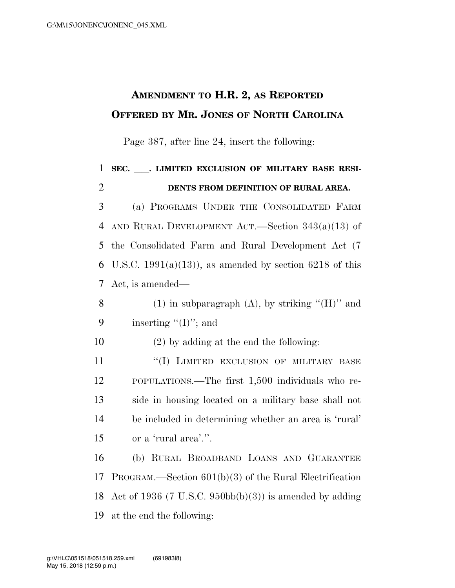## **AMENDMENT TO H.R. 2, AS REPORTED OFFERED BY MR. JONES OF NORTH CAROLINA**

Page 387, after line 24, insert the following:

 **SEC.** ll**. LIMITED EXCLUSION OF MILITARY BASE RESI- DENTS FROM DEFINITION OF RURAL AREA.**  (a) PROGRAMS UNDER THE CONSOLIDATED FARM AND RURAL DEVELOPMENT ACT.—Section 343(a)(13) of the Consolidated Farm and Rural Development Act (7 6 U.S.C. 1991(a)(13)), as amended by section 6218 of this Act, is amended— 8 (1) in subparagraph (A), by striking " $(H)$ " and 9 inserting  $\lq\lq$  (I)"; and (2) by adding at the end the following: **''(I) LIMITED EXCLUSION OF MILITARY BASE**  POPULATIONS.—The first 1,500 individuals who re- side in housing located on a military base shall not be included in determining whether an area is 'rural'

15 or a 'rural area'.''.

 (b) RURAL BROADBAND LOANS AND GUARANTEE PROGRAM.—Section 601(b)(3) of the Rural Electrification 18 Act of 1936 (7 U.S.C. 950bb(b)(3)) is amended by adding at the end the following: